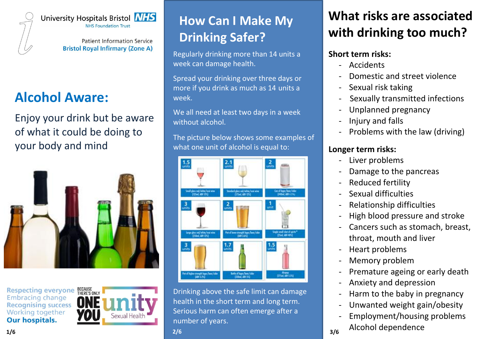

University Hospitals Bristol **NHS NHS Foundation Trust** 

> Patient Information Service **Bristol Royal Infirmary (Zone A)**

## **Alcohol Aware:**

Enjoy your drink but be aware of what it could be doing to your body and mind



Respecting everyone BECAUSE **Embracing change Recognising success** Working together **Our hospitals.** 



# **How Can I Make My Drinking Safer?**

Regularly drinking more than 14 units a week can damage health.

Spread your drinking over three days or more if you drink as much as 14 units a week.

We all need at least two days in a week without alcohol.

The picture below shows some examples of what one unit of alcohol is equal to:



Drinking above the safe limit can damage health in the short term and long term. Serious harm can often emerge after a number of years.

# **What risks are associated with drinking too much?**

#### **Short term risks:**

- **Accidents**
- Domestic and street violence
- Sexual risk taking
- Sexually transmitted infections
- Unplanned pregnancy
- Injury and falls
- Problems with the law (driving)

#### **Longer term risks:**

- Liver problems
- Damage to the pancreas
- Reduced fertility
- Sexual difficulties
- Relationship difficulties
- High blood pressure and stroke
- Cancers such as stomach, breast, throat, mouth and liver
- Heart problems
- Memory problem
- Premature ageing or early death
- Anxiety and depression
- Harm to the baby in pregnancy
- Unwanted weight gain/obesity
- Employment/housing problems - Alcohol dependence **2/6 3/6**

**1/6**